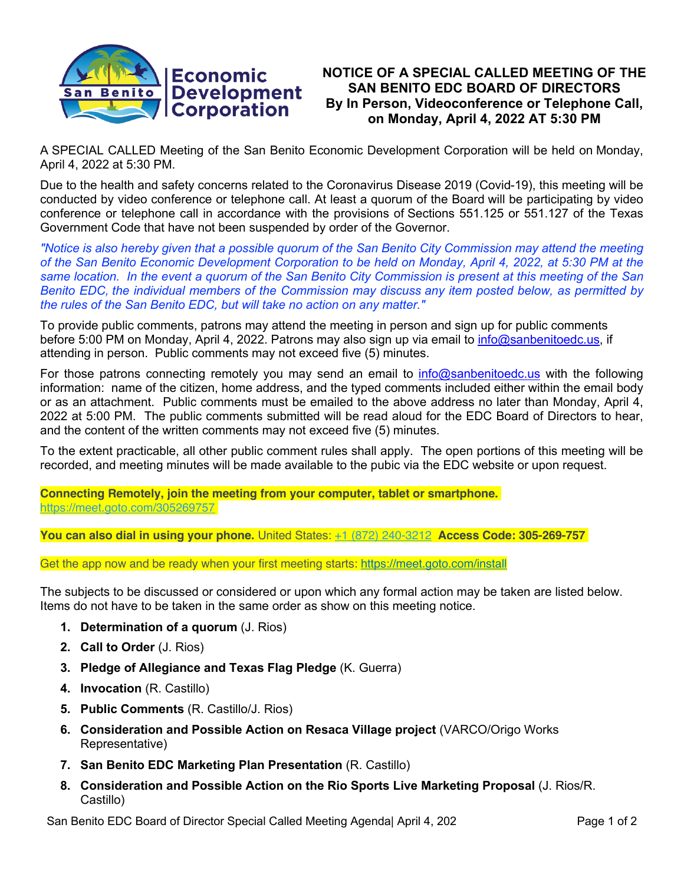

# **NOTICE OF A SPECIAL CALLED MEETING OF THE SAN BENITO EDC BOARD OF DIRECTORS By In Person, Videoconference or Telephone Call, on Monday, April 4, 2022 AT 5:30 PM**

A SPECIAL CALLED Meeting of the San Benito Economic Development Corporation will be held on Monday, April 4, 2022 at 5:30 PM.

Due to the health and safety concerns related to the Coronavirus Disease 2019 (Covid-19), this meeting will be conducted by video conference or telephone call. At least a quorum of the Board will be participating by video conference or telephone call in accordance with the provisions of Sections 551.125 or 551.127 of the Texas Government Code that have not been suspended by order of the Governor.

*"Notice is also hereby given that a possible quorum of the San Benito City Commission may attend the meeting of the San Benito Economic Development Corporation to be held on Monday, April 4, 2022, at 5:30 PM at the same location. In the event a quorum of the San Benito City Commission is present at this meeting of the San Benito EDC, the individual members of the Commission may discuss any item posted below, as permitted by the rules of the San Benito EDC, but will take no action on any matter."*

To provide public comments, patrons may attend the meeting in person and sign up for public comments before 5:00 PM on Monday, April 4, 2022. Patrons may also sign up via email to info@sanbenitoedc.us, if attending in person. Public comments may not exceed five (5) minutes.

For those patrons connecting remotely you may send an email to info@sanbenitoedc.us with the following information: name of the citizen, home address, and the typed comments included either within the email body or as an attachment. Public comments must be emailed to the above address no later than Monday, April 4, 2022 at 5:00 PM. The public comments submitted will be read aloud for the EDC Board of Directors to hear, and the content of the written comments may not exceed five (5) minutes.

To the extent practicable, all other public comment rules shall apply. The open portions of this meeting will be recorded, and meeting minutes will be made available to the pubic via the EDC website or upon request.

**Connecting Remotely, join the meeting from your computer, tablet or smartphone.** https://meet.goto.com/305269757

**You can also dial in using your phone.** United States: +1 (872) 240-3212 **Access Code: 305-269-757**

Get the app now and be ready when your first meeting starts: https://meet.goto.com/install

The subjects to be discussed or considered or upon which any formal action may be taken are listed below. Items do not have to be taken in the same order as show on this meeting notice.

- **1. Determination of a quorum** (J. Rios)
- **2. Call to Order** (J. Rios)
- **3. Pledge of Allegiance and Texas Flag Pledge** (K. Guerra)
- **4. Invocation** (R. Castillo)
- **5. Public Comments** (R. Castillo/J. Rios)
- **6. Consideration and Possible Action on Resaca Village project** (VARCO/Origo Works Representative)
- **7. San Benito EDC Marketing Plan Presentation** (R. Castillo)
- **8. Consideration and Possible Action on the Rio Sports Live Marketing Proposal** (J. Rios/R. Castillo)

San Benito EDC Board of Director Special Called Meeting Agenda April 4, 202 Page 1 of 2